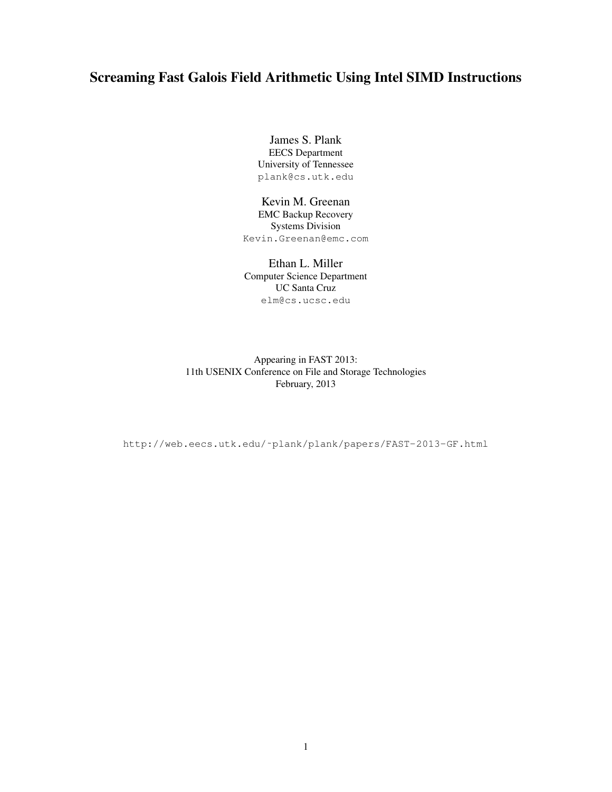# Screaming Fast Galois Field Arithmetic Using Intel SIMD Instructions

James S. Plank EECS Department University of Tennessee plank@cs.utk.edu

### Kevin M. Greenan EMC Backup Recovery

Systems Division Kevin.Greenan@emc.com

### Ethan L. Miller Computer Science Department UC Santa Cruz elm@cs.ucsc.edu

Appearing in FAST 2013: 11th USENIX Conference on File and Storage Technologies February, 2013

http://web.eecs.utk.edu/˜plank/plank/papers/FAST-2013-GF.html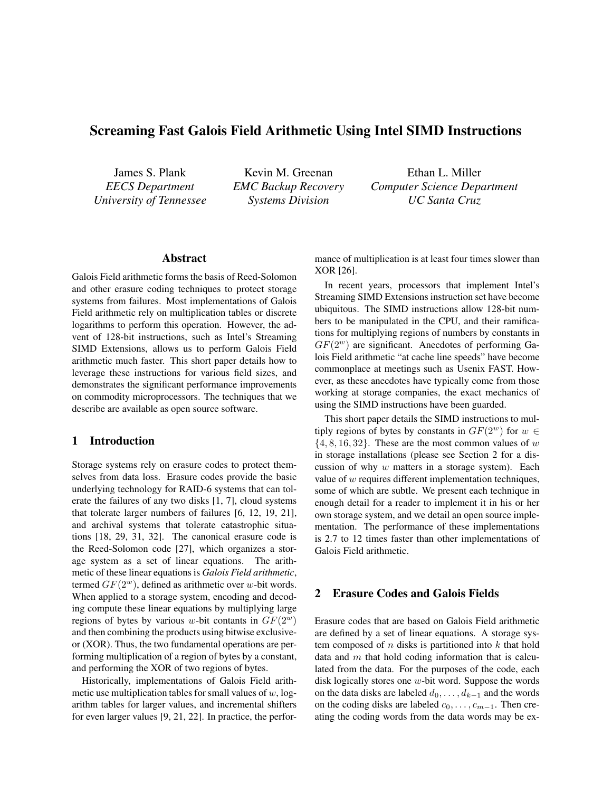# Screaming Fast Galois Field Arithmetic Using Intel SIMD Instructions

James S. Plank *EECS Department University of Tennessee*

Kevin M. Greenan *EMC Backup Recovery Systems Division*

Ethan L. Miller *Computer Science Department UC Santa Cruz*

### Abstract

Galois Field arithmetic forms the basis of Reed-Solomon and other erasure coding techniques to protect storage systems from failures. Most implementations of Galois Field arithmetic rely on multiplication tables or discrete logarithms to perform this operation. However, the advent of 128-bit instructions, such as Intel's Streaming SIMD Extensions, allows us to perform Galois Field arithmetic much faster. This short paper details how to leverage these instructions for various field sizes, and demonstrates the significant performance improvements on commodity microprocessors. The techniques that we describe are available as open source software.

#### 1 Introduction

Storage systems rely on erasure codes to protect themselves from data loss. Erasure codes provide the basic underlying technology for RAID-6 systems that can tolerate the failures of any two disks [1, 7], cloud systems that tolerate larger numbers of failures [6, 12, 19, 21], and archival systems that tolerate catastrophic situations [18, 29, 31, 32]. The canonical erasure code is the Reed-Solomon code [27], which organizes a storage system as a set of linear equations. The arithmetic of these linear equations is *Galois Field arithmetic*, termed  $GF(2^w)$ , defined as arithmetic over w-bit words. When applied to a storage system, encoding and decoding compute these linear equations by multiplying large regions of bytes by various w-bit contants in  $GF(2^w)$ and then combining the products using bitwise exclusiveor (XOR). Thus, the two fundamental operations are performing multiplication of a region of bytes by a constant, and performing the XOR of two regions of bytes.

Historically, implementations of Galois Field arithmetic use multiplication tables for small values of  $w$ , logarithm tables for larger values, and incremental shifters for even larger values [9, 21, 22]. In practice, the performance of multiplication is at least four times slower than XOR [26].

In recent years, processors that implement Intel's Streaming SIMD Extensions instruction set have become ubiquitous. The SIMD instructions allow 128-bit numbers to be manipulated in the CPU, and their ramifications for multiplying regions of numbers by constants in  $GF(2^w)$  are significant. Anecdotes of performing Galois Field arithmetic "at cache line speeds" have become commonplace at meetings such as Usenix FAST. However, as these anecdotes have typically come from those working at storage companies, the exact mechanics of using the SIMD instructions have been guarded.

This short paper details the SIMD instructions to multiply regions of bytes by constants in  $GF(2^w)$  for  $w \in$  $\{4, 8, 16, 32\}$ . These are the most common values of w in storage installations (please see Section 2 for a discussion of why  $w$  matters in a storage system). Each value of w requires different implementation techniques, some of which are subtle. We present each technique in enough detail for a reader to implement it in his or her own storage system, and we detail an open source implementation. The performance of these implementations is 2.7 to 12 times faster than other implementations of Galois Field arithmetic.

### 2 Erasure Codes and Galois Fields

Erasure codes that are based on Galois Field arithmetic are defined by a set of linear equations. A storage system composed of  $n$  disks is partitioned into  $k$  that hold data and  $m$  that hold coding information that is calculated from the data. For the purposes of the code, each disk logically stores one w-bit word. Suppose the words on the data disks are labeled  $d_0, \ldots, d_{k-1}$  and the words on the coding disks are labeled  $c_0, \ldots, c_{m-1}$ . Then creating the coding words from the data words may be ex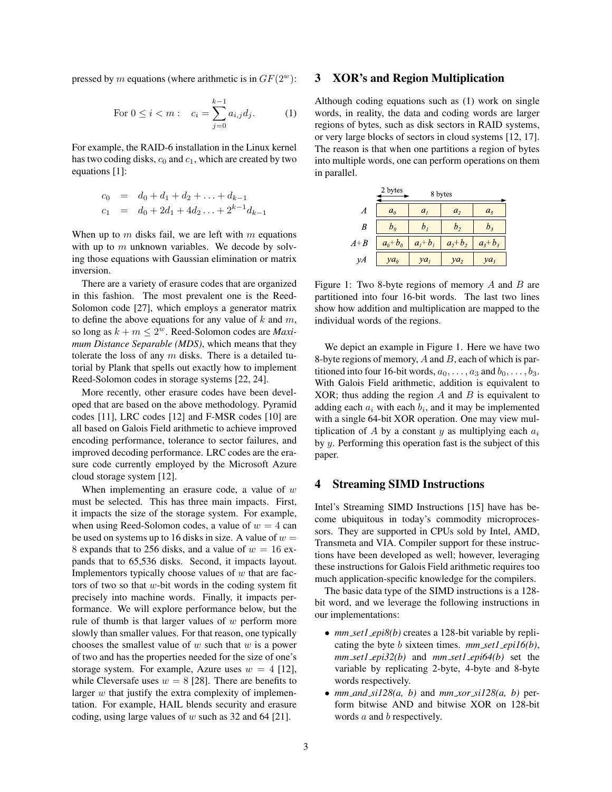pressed by m equations (where arithmetic is in  $GF(2^w)$ :

For 
$$
0 \le i < m
$$
:  $c_i = \sum_{j=0}^{k-1} a_{i,j} d_j$ . (1)

For example, the RAID-6 installation in the Linux kernel has two coding disks,  $c_0$  and  $c_1$ , which are created by two equations [1]:

$$
c_0 = d_0 + d_1 + d_2 + \dots + d_{k-1}
$$
  
\n
$$
c_1 = d_0 + 2d_1 + 4d_2 \dots + 2^{k-1}d_{k-1}
$$

When up to  $m$  disks fail, we are left with  $m$  equations with up to  $m$  unknown variables. We decode by solving those equations with Gaussian elimination or matrix inversion.

There are a variety of erasure codes that are organized in this fashion. The most prevalent one is the Reed-Solomon code [27], which employs a generator matrix to define the above equations for any value of  $k$  and  $m$ , so long as  $k + m \leq 2^w$ . Reed-Solomon codes are *Maximum Distance Separable (MDS)*, which means that they tolerate the loss of any  $m$  disks. There is a detailed tutorial by Plank that spells out exactly how to implement Reed-Solomon codes in storage systems [22, 24].

More recently, other erasure codes have been developed that are based on the above methodology. Pyramid codes [11], LRC codes [12] and F-MSR codes [10] are all based on Galois Field arithmetic to achieve improved encoding performance, tolerance to sector failures, and improved decoding performance. LRC codes are the erasure code currently employed by the Microsoft Azure cloud storage system [12].

When implementing an erasure code, a value of  $w$ must be selected. This has three main impacts. First, it impacts the size of the storage system. For example, when using Reed-Solomon codes, a value of  $w = 4$  can be used on systems up to 16 disks in size. A value of  $w =$ 8 expands that to 256 disks, and a value of  $w = 16$  expands that to 65,536 disks. Second, it impacts layout. Implementors typically choose values of  $w$  that are factors of two so that  $w$ -bit words in the coding system fit precisely into machine words. Finally, it impacts performance. We will explore performance below, but the rule of thumb is that larger values of  $w$  perform more slowly than smaller values. For that reason, one typically chooses the smallest value of  $w$  such that  $w$  is a power of two and has the properties needed for the size of one's storage system. For example, Azure uses  $w = 4$  [12], while Cleversafe uses  $w = 8$  [28]. There are benefits to larger  $w$  that justify the extra complexity of implementation. For example, HAIL blends security and erasure coding, using large values of w such as 32 and 64 [21].

### 3 XOR's and Region Multiplication

Although coding equations such as (1) work on single words, in reality, the data and coding words are larger regions of bytes, such as disk sectors in RAID systems, or very large blocks of sectors in cloud systems [12, 17]. The reason is that when one partitions a region of bytes into multiple words, one can perform operations on them in parallel.

|       | 2 bytes<br>8 bytes |                    |                 |                |  |  |  |  |  |  |  |  |
|-------|--------------------|--------------------|-----------------|----------------|--|--|--|--|--|--|--|--|
| A     | a <sub>0</sub>     | $a_i$              | a <sub>2</sub>  | a <sub>3</sub> |  |  |  |  |  |  |  |  |
| B     | $b_{\theta}$       | $\boldsymbol{D}_I$ | b,              | $D_3$          |  |  |  |  |  |  |  |  |
| $A+B$ | $a_0 + b_0$        | $a_i + b_i$        | $a_2 + b_2$     | $a_3 + b_3$    |  |  |  |  |  |  |  |  |
| γA    | $ya_0$             | ya <sub>l</sub>    | ya <sub>2</sub> | $ya_3$         |  |  |  |  |  |  |  |  |

Figure 1: Two 8-byte regions of memory  $A$  and  $B$  are partitioned into four 16-bit words. The last two lines show how addition and multiplication are mapped to the individual words of the regions.

We depict an example in Figure 1. Here we have two 8-byte regions of memory,  $A$  and  $B$ , each of which is partitioned into four 16-bit words,  $a_0, \ldots, a_3$  and  $b_0, \ldots, b_3$ . With Galois Field arithmetic, addition is equivalent to XOR; thus adding the region  $A$  and  $B$  is equivalent to adding each  $a_i$  with each  $b_i$ , and it may be implemented with a single 64-bit XOR operation. One may view multiplication of A by a constant y as multiplying each  $a_i$ by y. Performing this operation fast is the subject of this paper.

#### 4 Streaming SIMD Instructions

Intel's Streaming SIMD Instructions [15] have has become ubiquitous in today's commodity microprocessors. They are supported in CPUs sold by Intel, AMD, Transmeta and VIA. Compiler support for these instructions have been developed as well; however, leveraging these instructions for Galois Field arithmetic requires too much application-specific knowledge for the compilers.

The basic data type of the SIMD instructions is a 128 bit word, and we leverage the following instructions in our implementations:

- *mm\_set1\_epi8(b)* creates a 128-bit variable by replicating the byte b sixteen times. *mm set1 epi16(b)*, *mm set1 epi32(b)* and *mm set1 epi64(b)* set the variable by replicating 2-byte, 4-byte and 8-byte words respectively.
- $mm\_and\_sil28(a, b)$  and  $mm\_xor\_sil28(a, b)$  perform bitwise AND and bitwise XOR on 128-bit words a and b respectively.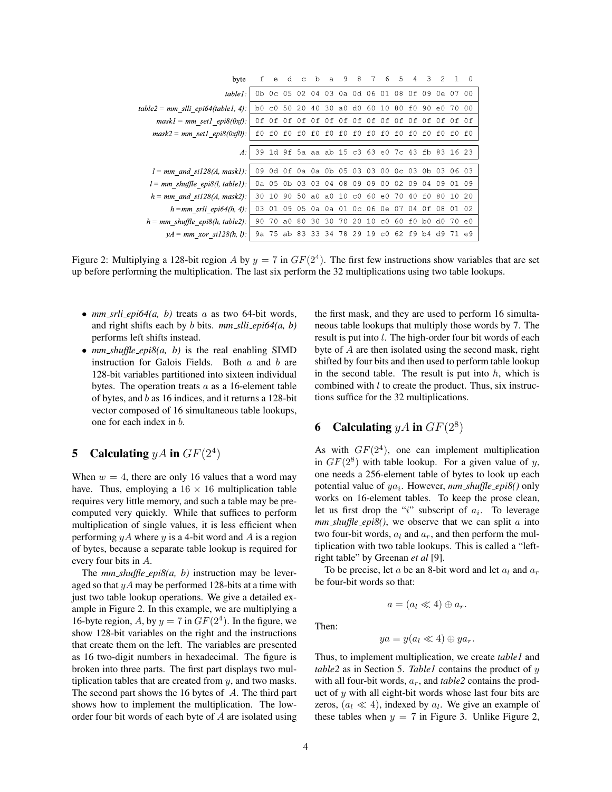| byte                                   |      | e        | d   | C.  | $\mathbf{b}$                                    |     |             | a 987                         |       | 6   | $-5$    | 4     | 3                 | $\overline{2}$ |       |            |
|----------------------------------------|------|----------|-----|-----|-------------------------------------------------|-----|-------------|-------------------------------|-------|-----|---------|-------|-------------------|----------------|-------|------------|
| $table!$ :                             |      | 0b 0c 05 |     | 02. |                                                 |     |             | 04 03 0a 0d 06 01             |       |     | - 08    | 0 f   |                   | 09 0e 07 00    |       |            |
| table2 = mm slli epi64(table1, 4):     |      | b0 c0 50 |     | -20 |                                                 |     | 40 30 a0 d0 |                               |       |     |         |       | 60 10 80 f0 90 e0 |                | 70 00 |            |
| $mask1 = mm \text{ set1 } epi8(0xf)$ : | n fi | 0f.      | 0 f | 0f. | 0f                                              | 0f  |             | Of Of Of Of Of Of Of Of Of Of |       |     |         |       |                   |                |       |            |
| $mask2 = mm \text{ set1 } epi8(0xf0):$ | f0   | f0.      | f0  | f0  | f(0)                                            | f(  | f0          | f0                            | f0    | f0. | f(0)    | f(    | f0.               | f0.            | f0.   | f()        |
| $A$ :                                  |      |          |     |     | 39 1d 9f 5a aa ab 15 c3 63 e0 7c 43 fb 83 16 23 |     |             |                               |       |     |         |       |                   |                |       |            |
| $l = mm$ and si128(A, mask1):          | 09.  | 0d Of    |     |     | 0a 0a Ob                                        |     | 05          | -03                           | 03    | 00  | $0c$ 03 |       | 0b 03             |                | 06 03 |            |
| $l = mm$ shuffle epi8(l, table1):      |      | 0a 05    | 0b. | 03. | 03                                              | 04  | 08          | 09                            | 09    | 00  | 02.     | 09    | 04                | 09             |       | - 09       |
| $h = mm$ and si128(A, mask2):          | 30   | 10       | 90. | 50  | a0                                              | a0  | 10          | $_{\rm c0}$                   | 60 e0 |     | 70      | 40    | f0.               | 80             | 10.   | -20        |
| $h = mm$ srli epi $64(h, 4)$ :         | 03.  | 01       | 09  | 0.5 | 0а.                                             | 0а. |             | 01 0c 06 0e                   |       |     | 07      | 04    | 0f                | -08            | 0102  |            |
| $h = mm$ shuffle epi8(h, table2):      | 90.  | 70       | a0  | 80. | -30                                             | -30 | 70          | 20                            |       |     |         |       | 10 c0 60 f0 b0 d0 |                | 70 e0 |            |
| $yA = mm\_xor$ sil 28(h, l):           | 9а.  | 75.      | ab. | 83  | 33.                                             | -34 | 78.         | 29                            | 19c0  |     |         | 62 f9 | b4 d9             |                |       | $\epsilon$ |

Figure 2: Multiplying a 128-bit region A by  $y = 7$  in  $GF(2<sup>4</sup>)$ . The first few instructions show variables that are set up before performing the multiplication. The last six perform the 32 multiplications using two table lookups.

- *mm\_srli\_epi64(a, b)* treats *a* as two 64-bit words, and right shifts each by b bits. *mm slli epi64(a, b)* performs left shifts instead.
- *mm\_shuffle\_epi8(a, b)* is the real enabling SIMD instruction for Galois Fields. Both  $a$  and  $b$  are 128-bit variables partitioned into sixteen individual bytes. The operation treats  $a$  as a 16-element table of bytes, and b as 16 indices, and it returns a 128-bit vector composed of 16 simultaneous table lookups, one for each index in b.

# 5 Calculating  $yA$  in  $GF(2^4)$

When  $w = 4$ , there are only 16 values that a word may have. Thus, employing a  $16 \times 16$  multiplication table requires very little memory, and such a table may be precomputed very quickly. While that suffices to perform multiplication of single values, it is less efficient when performing  $yA$  where y is a 4-bit word and A is a region of bytes, because a separate table lookup is required for every four bits in A.

The *mm shuffle epi8(a, b)* instruction may be leveraged so that  $yA$  may be performed 128-bits at a time with just two table lookup operations. We give a detailed example in Figure 2. In this example, we are multiplying a 16-byte region, A, by  $y = 7$  in  $GF(2<sup>4</sup>)$ . In the figure, we show 128-bit variables on the right and the instructions that create them on the left. The variables are presented as 16 two-digit numbers in hexadecimal. The figure is broken into three parts. The first part displays two multiplication tables that are created from  $y$ , and two masks. The second part shows the 16 bytes of A. The third part shows how to implement the multiplication. The loworder four bit words of each byte of A are isolated using the first mask, and they are used to perform 16 simultaneous table lookups that multiply those words by 7. The result is put into l. The high-order four bit words of each byte of A are then isolated using the second mask, right shifted by four bits and then used to perform table lookup in the second table. The result is put into  $h$ , which is combined with  $l$  to create the product. Thus, six instructions suffice for the 32 multiplications.

# **6** Calculating  $yA$  in  $GF(2^8)$

As with  $GF(2<sup>4</sup>)$ , one can implement multiplication in  $GF(2^8)$  with table lookup. For a given value of y, one needs a 256-element table of bytes to look up each potential value of  $ya_i$ . However,  $mm\_shuffle\_epi8()$  only works on 16-element tables. To keep the prose clean, let us first drop the "i" subscript of  $a_i$ . To leverage  $mm\_shuffle\_epi8()$ , we observe that we can split  $a$  into two four-bit words,  $a_l$  and  $a_r$ , and then perform the multiplication with two table lookups. This is called a "leftright table" by Greenan *et al* [9].

To be precise, let a be an 8-bit word and let  $a_l$  and  $a_r$ be four-bit words so that:

Then:

$$
a=(a_l\ll 4)\oplus a_r.
$$

$$
ya = y(a_l \ll 4) \oplus ya_r.
$$

Thus, to implement multiplication, we create *table1* and *table2* as in Section 5. *Table1* contains the product of y with all four-bit words,  $a_r$ , and  $table2$  contains the product of  $y$  with all eight-bit words whose last four bits are zeros,  $(a_l \ll 4)$ , indexed by  $a_l$ . We give an example of these tables when  $y = 7$  in Figure 3. Unlike Figure 2,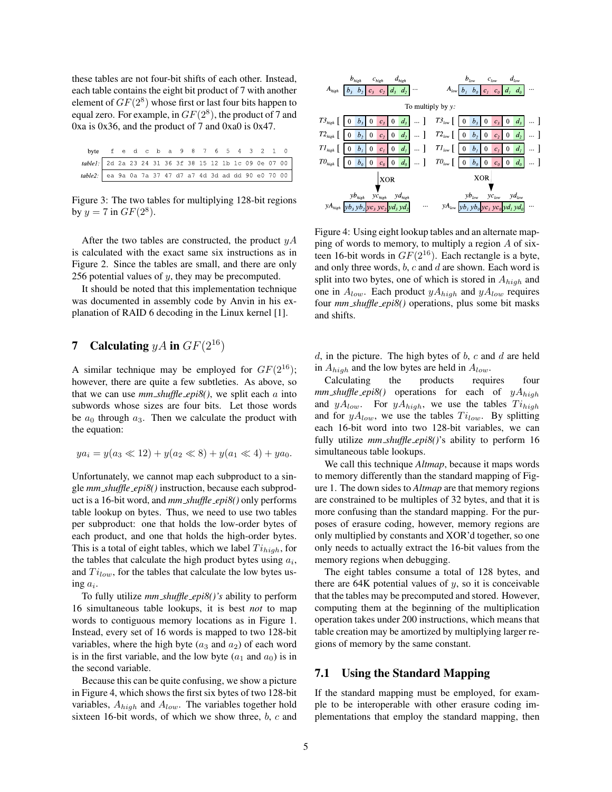these tables are not four-bit shifts of each other. Instead, each table contains the eight bit product of 7 with another element of  $GF(2^8)$  whose first or last four bits happen to equal zero. For example, in  $GF(2^8)$ , the product of 7 and 0xa is 0x36, and the product of 7 and 0xa0 is 0x47.

| byte fed c b a 9 8 7 6 5 4 3 2 1 0                      |  |  |  |  |  |  |  |  |
|---------------------------------------------------------|--|--|--|--|--|--|--|--|
| table1: 2d 2a 23 24 31 36 3f 38 15 12 1b 1c 09 0e 07 00 |  |  |  |  |  |  |  |  |
| table2: ea 9a 0a 7a 37 47 d7 a7 4d 3d ad dd 90 e0 70 00 |  |  |  |  |  |  |  |  |

Figure 3: The two tables for multiplying 128-bit regions by  $y = 7$  in  $GF(2^8)$ .

After the two tables are constructed, the product  $yA$ is calculated with the exact same six instructions as in Figure 2. Since the tables are small, and there are only 256 potential values of  $y$ , they may be precomputed.

It should be noted that this implementation technique was documented in assembly code by Anvin in his explanation of RAID 6 decoding in the Linux kernel [1].

# 7 Calculating  $yA$  in  $GF(2^{16})$

A similar technique may be employed for  $GF(2^{16})$ ; however, there are quite a few subtleties. As above, so that we can use  $mm\_shuffle\_epi8()$ , we split each a into subwords whose sizes are four bits. Let those words be  $a_0$  through  $a_3$ . Then we calculate the product with the equation:

$$
ya_i = y(a_3 \ll 12) + y(a_2 \ll 8) + y(a_1 \ll 4) + ya_0.
$$

Unfortunately, we cannot map each subproduct to a single *mm shuffle epi8()* instruction, because each subproduct is a 16-bit word, and *mm shuffle epi8()* only performs table lookup on bytes. Thus, we need to use two tables per subproduct: one that holds the low-order bytes of each product, and one that holds the high-order bytes. This is a total of eight tables, which we label  $Ti_{high}$ , for the tables that calculate the high product bytes using  $a_i$ , and  $Ti_{low}$ , for the tables that calculate the low bytes using  $a_i$ .

To fully utilize *mm shuffle epi8()'s* ability to perform 16 simultaneous table lookups, it is best *not* to map words to contiguous memory locations as in Figure 1. Instead, every set of 16 words is mapped to two 128-bit variables, where the high byte  $(a_3 \text{ and } a_2)$  of each word is in the first variable, and the low byte  $(a_1 \text{ and } a_0)$  is in the second variable.

Because this can be quite confusing, we show a picture in Figure 4, which shows the first six bytes of two 128-bit variables,  $A_{high}$  and  $A_{low}$ . The variables together hold sixteen 16-bit words, of which we show three, b, c and



Figure 4: Using eight lookup tables and an alternate mapping of words to memory, to multiply a region A of sixteen 16-bit words in  $GF(2^{16})$ . Each rectangle is a byte, and only three words,  $b$ ,  $c$  and  $d$  are shown. Each word is split into two bytes, one of which is stored in  $A_{high}$  and one in  $A_{low}$ . Each product  $yA_{high}$  and  $yA_{low}$  requires four *mm shuffle epi8()* operations, plus some bit masks and shifts.

 $d$ , in the picture. The high bytes of  $b$ ,  $c$  and  $d$  are held in  $A_{high}$  and the low bytes are held in  $A_{low}$ .

Calculating the products requires four  $mm\_shuffle\_epi8()$  operations for each of  $yA_{high}$ and  $yA_{low}$ . For  $yA_{high}$ , we use the tables  $Ti_{high}$ and for  $yA_{low}$ , we use the tables  $Ti_{low}$ . By splitting each 16-bit word into two 128-bit variables, we can fully utilize  $mm\_shuffle\_epi8()$ 's ability to perform 16 simultaneous table lookups.

We call this technique *Altmap*, because it maps words to memory differently than the standard mapping of Figure 1. The down sides to *Altmap* are that memory regions are constrained to be multiples of 32 bytes, and that it is more confusing than the standard mapping. For the purposes of erasure coding, however, memory regions are only multiplied by constants and XOR'd together, so one only needs to actually extract the 16-bit values from the memory regions when debugging.

The eight tables consume a total of 128 bytes, and there are  $64K$  potential values of  $y$ , so it is conceivable that the tables may be precomputed and stored. However, computing them at the beginning of the multiplication operation takes under 200 instructions, which means that table creation may be amortized by multiplying larger regions of memory by the same constant.

### 7.1 Using the Standard Mapping

If the standard mapping must be employed, for example to be interoperable with other erasure coding implementations that employ the standard mapping, then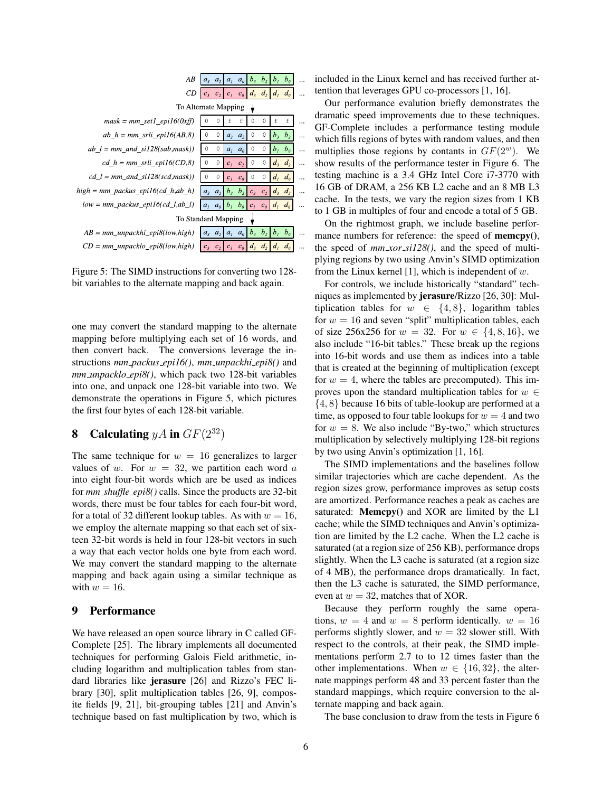| ΑB                                    | a <sub>3</sub>      | a <sub>2</sub> |             | $a_i$ $a_o$               | $b_3$   | $b_2$          | b <sub>i</sub>       | b <sub>0</sub> |  |  |  |  |  |
|---------------------------------------|---------------------|----------------|-------------|---------------------------|---------|----------------|----------------------|----------------|--|--|--|--|--|
| СD                                    | $c_3$               | c <sub>2</sub> |             | $ c_1 c_0 d_3$            |         | $d_2$ $d_1$    |                      | $d_{\theta}$   |  |  |  |  |  |
| To Alternate Mapping                  |                     |                |             |                           |         |                |                      |                |  |  |  |  |  |
| $mask = mm \text{ set1 } epi16(0xff)$ |                     | 0              | f           | f                         | 0       | 0              | f                    | f              |  |  |  |  |  |
| $ab_h = mm\_srli\_epil6(AB,8)$        | 0                   | 0              | $a3$ $a2$   |                           | $\circ$ | 0              | b <sub>3</sub>       | b <sub>2</sub> |  |  |  |  |  |
| $ab_l = mm\_and\_sil28(sab, mask)$    | 0                   | 0              |             | $a_i$ $a_o$               | 0       | $\circ$        | b <sub>1</sub>       | $b_{\theta}$   |  |  |  |  |  |
| cd $h = mm$ srli epi16(CD,8)          | 0                   | 0              |             | $c3$ $c2$                 | 0       | 0              | $d_{3}$              | d <sub>2</sub> |  |  |  |  |  |
| $cd_l = mm_and_sil28(scd, mask)$      |                     | 0              | $c_i$ $c_o$ |                           | 0       | 0              | $d_i$                | $d_a$          |  |  |  |  |  |
| $high = mm\_packus\_epil6(cd_h,ab_h)$ |                     | $a_3$ $a_2$    |             | $ b_1, b_2 c_3, c_2 d_3 $ |         |                |                      | d <sub>2</sub> |  |  |  |  |  |
| $low = mm\_packus\_epil6(cd_l,ab_l)$  | a <sub>i</sub>      | $a_0$          |             | $b_i$ $b_0$ $c_i$ $c_0$   |         |                | $d_i$ d <sub>0</sub> |                |  |  |  |  |  |
|                                       | To Standard Mapping |                |             |                           |         |                |                      |                |  |  |  |  |  |
| $AB = mm\_unpackhi\_epi8(low, high)$  | a <sub>3</sub>      | a <sub>2</sub> |             | $ a_i $ $ a_0 $           | $b_3$   | b <sub>2</sub> | b <sub>1</sub>       | b <sub>a</sub> |  |  |  |  |  |
| $CD = mm\_unpacklo\_epi8(low, high)$  |                     | $c_3$ $c_2$    |             | $c_1$ $c_0$ $d_3$         |         | d <sub>2</sub> | $d_i$                | $d_{\theta}$   |  |  |  |  |  |

Figure 5: The SIMD instructions for converting two 128 bit variables to the alternate mapping and back again.

one may convert the standard mapping to the alternate mapping before multiplying each set of 16 words, and then convert back. The conversions leverage the instructions *mm packus epi16()*, *mm unpackhi epi8()* and *mm unpacklo epi8()*, which pack two 128-bit variables into one, and unpack one 128-bit variable into two. We demonstrate the operations in Figure 5, which pictures the first four bytes of each 128-bit variable.

# 8 Calculating  $yA$  in  $GF(2^{32})$

The same technique for  $w = 16$  generalizes to larger values of w. For  $w = 32$ , we partition each word a into eight four-bit words which are be used as indices for *mm shuffle epi8()* calls. Since the products are 32-bit words, there must be four tables for each four-bit word, for a total of 32 different lookup tables. As with  $w = 16$ , we employ the alternate mapping so that each set of sixteen 32-bit words is held in four 128-bit vectors in such a way that each vector holds one byte from each word. We may convert the standard mapping to the alternate mapping and back again using a similar technique as with  $w = 16$ .

### 9 Performance

We have released an open source library in C called GF-Complete [25]. The library implements all documented techniques for performing Galois Field arithmetic, including logarithm and multiplication tables from standard libraries like jerasure [26] and Rizzo's FEC library [30], split multiplication tables [26, 9], composite fields [9, 21], bit-grouping tables [21] and Anvin's technique based on fast multiplication by two, which is included in the Linux kernel and has received further attention that leverages GPU co-processors [1, 16].

Our performance evalution briefly demonstrates the dramatic speed improvements due to these techniques. GF-Complete includes a performance testing module which fills regions of bytes with random values, and then multiplies those regions by contants in  $GF(2^w)$ . We show results of the performance tester in Figure 6. The testing machine is a 3.4 GHz Intel Core i7-3770 with 16 GB of DRAM, a 256 KB L2 cache and an 8 MB L3 cache. In the tests, we vary the region sizes from 1 KB to 1 GB in multiples of four and encode a total of 5 GB.

On the rightmost graph, we include baseline performance numbers for reference: the speed of **memcpy**(), the speed of *mm xor si128()*, and the speed of multiplying regions by two using Anvin's SIMD optimization from the Linux kernel [1], which is independent of  $w$ .

For controls, we include historically "standard" techniques as implemented by jerasure/Rizzo [26, 30]: Multiplication tables for  $w \in \{4, 8\}$ , logarithm tables for  $w = 16$  and seven "split" multiplication tables, each of size 256x256 for  $w = 32$ . For  $w \in \{4, 8, 16\}$ , we also include "16-bit tables." These break up the regions into 16-bit words and use them as indices into a table that is created at the beginning of multiplication (except for  $w = 4$ , where the tables are precomputed). This improves upon the standard multiplication tables for  $w \in$ {4, 8} because 16 bits of table-lookup are performed at a time, as opposed to four table lookups for  $w = 4$  and two for  $w = 8$ . We also include "By-two," which structures multiplication by selectively multiplying 128-bit regions by two using Anvin's optimization [1, 16].

The SIMD implementations and the baselines follow similar trajectories which are cache dependent. As the region sizes grow, performance improves as setup costs are amortized. Performance reaches a peak as caches are saturated: Memcpy() and XOR are limited by the L1 cache; while the SIMD techniques and Anvin's optimization are limited by the L2 cache. When the L2 cache is saturated (at a region size of 256 KB), performance drops slightly. When the L3 cache is saturated (at a region size of 4 MB), the performance drops dramatically. In fact, then the L3 cache is saturated, the SIMD performance, even at  $w = 32$ , matches that of XOR.

Because they perform roughly the same operations,  $w = 4$  and  $w = 8$  perform identically.  $w = 16$ performs slightly slower, and  $w = 32$  slower still. With respect to the controls, at their peak, the SIMD implementations perform 2.7 to to 12 times faster than the other implementations. When  $w \in \{16, 32\}$ , the alternate mappings perform 48 and 33 percent faster than the standard mappings, which require conversion to the alternate mapping and back again.

The base conclusion to draw from the tests in Figure 6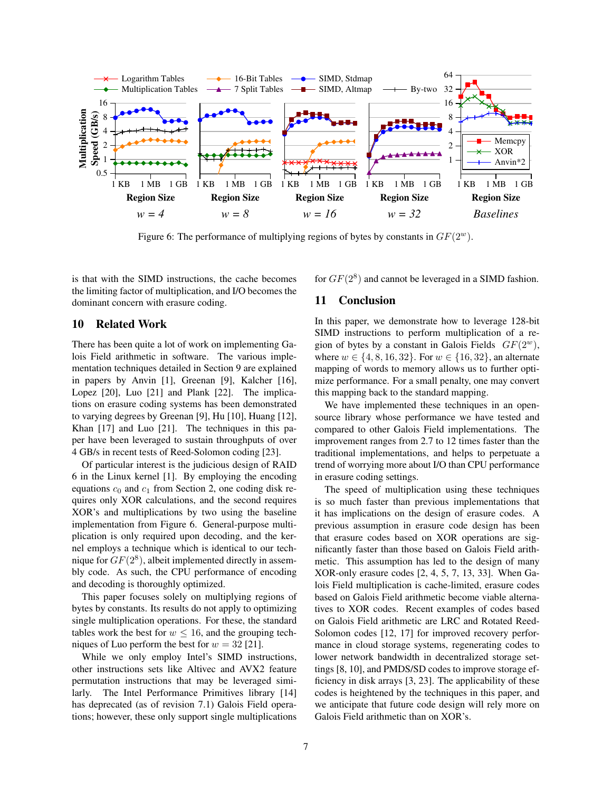

Figure 6: The performance of multiplying regions of bytes by constants in  $GF(2<sup>w</sup>)$ .

is that with the SIMD instructions, the cache becomes the limiting factor of multiplication, and I/O becomes the dominant concern with erasure coding.

### 10 Related Work

There has been quite a lot of work on implementing Galois Field arithmetic in software. The various implementation techniques detailed in Section 9 are explained in papers by Anvin [1], Greenan [9], Kalcher [16], Lopez [20], Luo [21] and Plank [22]. The implications on erasure coding systems has been demonstrated to varying degrees by Greenan [9], Hu [10], Huang [12], Khan [17] and Luo [21]. The techniques in this paper have been leveraged to sustain throughputs of over 4 GB/s in recent tests of Reed-Solomon coding [23].

Of particular interest is the judicious design of RAID 6 in the Linux kernel [1]. By employing the encoding equations  $c_0$  and  $c_1$  from Section 2, one coding disk requires only XOR calculations, and the second requires XOR's and multiplications by two using the baseline implementation from Figure 6. General-purpose multiplication is only required upon decoding, and the kernel employs a technique which is identical to our technique for  $GF(2^8)$ , albeit implemented directly in assembly code. As such, the CPU performance of encoding and decoding is thoroughly optimized.

This paper focuses solely on multiplying regions of bytes by constants. Its results do not apply to optimizing single multiplication operations. For these, the standard tables work the best for  $w \leq 16$ , and the grouping techniques of Luo perform the best for  $w = 32$  [21].

While we only employ Intel's SIMD instructions, other instructions sets like Altivec and AVX2 feature permutation instructions that may be leveraged similarly. The Intel Performance Primitives library [14] has deprecated (as of revision 7.1) Galois Field operations; however, these only support single multiplications for  $GF(2^8)$  and cannot be leveraged in a SIMD fashion.

### 11 Conclusion

In this paper, we demonstrate how to leverage 128-bit SIMD instructions to perform multiplication of a region of bytes by a constant in Galois Fields  $GF(2^w)$ , where  $w \in \{4, 8, 16, 32\}$ . For  $w \in \{16, 32\}$ , an alternate mapping of words to memory allows us to further optimize performance. For a small penalty, one may convert this mapping back to the standard mapping.

We have implemented these techniques in an opensource library whose performance we have tested and compared to other Galois Field implementations. The improvement ranges from 2.7 to 12 times faster than the traditional implementations, and helps to perpetuate a trend of worrying more about I/O than CPU performance in erasure coding settings.

The speed of multiplication using these techniques is so much faster than previous implementations that it has implications on the design of erasure codes. A previous assumption in erasure code design has been that erasure codes based on XOR operations are significantly faster than those based on Galois Field arithmetic. This assumption has led to the design of many XOR-only erasure codes [2, 4, 5, 7, 13, 33]. When Galois Field multiplication is cache-limited, erasure codes based on Galois Field arithmetic become viable alternatives to XOR codes. Recent examples of codes based on Galois Field arithmetic are LRC and Rotated Reed-Solomon codes [12, 17] for improved recovery performance in cloud storage systems, regenerating codes to lower network bandwidth in decentralized storage settings [8, 10], and PMDS/SD codes to improve storage efficiency in disk arrays [3, 23]. The applicability of these codes is heightened by the techniques in this paper, and we anticipate that future code design will rely more on Galois Field arithmetic than on XOR's.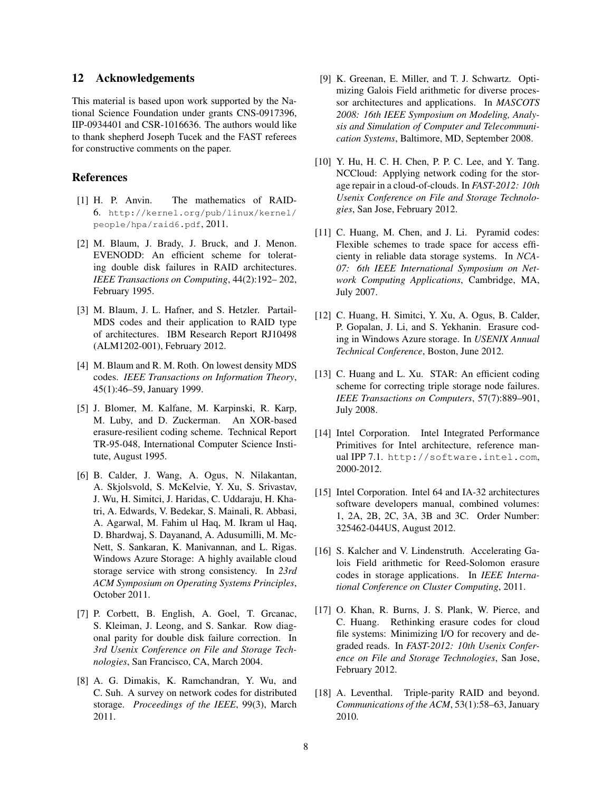#### 12 Acknowledgements

This material is based upon work supported by the National Science Foundation under grants CNS-0917396, IIP-0934401 and CSR-1016636. The authors would like to thank shepherd Joseph Tucek and the FAST referees for constructive comments on the paper.

#### References

- [1] H. P. Anvin. The mathematics of RAID-6. http://kernel.org/pub/linux/kernel/ people/hpa/raid6.pdf, 2011.
- [2] M. Blaum, J. Brady, J. Bruck, and J. Menon. EVENODD: An efficient scheme for tolerating double disk failures in RAID architectures. *IEEE Transactions on Computing*, 44(2):192– 202, February 1995.
- [3] M. Blaum, J. L. Hafner, and S. Hetzler. Partail-MDS codes and their application to RAID type of architectures. IBM Research Report RJ10498 (ALM1202-001), February 2012.
- [4] M. Blaum and R. M. Roth. On lowest density MDS codes. *IEEE Transactions on Information Theory*, 45(1):46–59, January 1999.
- [5] J. Blomer, M. Kalfane, M. Karpinski, R. Karp, M. Luby, and D. Zuckerman. An XOR-based erasure-resilient coding scheme. Technical Report TR-95-048, International Computer Science Institute, August 1995.
- [6] B. Calder, J. Wang, A. Ogus, N. Nilakantan, A. Skjolsvold, S. McKelvie, Y. Xu, S. Srivastav, J. Wu, H. Simitci, J. Haridas, C. Uddaraju, H. Khatri, A. Edwards, V. Bedekar, S. Mainali, R. Abbasi, A. Agarwal, M. Fahim ul Haq, M. Ikram ul Haq, D. Bhardwaj, S. Dayanand, A. Adusumilli, M. Mc-Nett, S. Sankaran, K. Manivannan, and L. Rigas. Windows Azure Storage: A highly available cloud storage service with strong consistency. In *23rd ACM Symposium on Operating Systems Principles*, October 2011.
- [7] P. Corbett, B. English, A. Goel, T. Grcanac, S. Kleiman, J. Leong, and S. Sankar. Row diagonal parity for double disk failure correction. In *3rd Usenix Conference on File and Storage Technologies*, San Francisco, CA, March 2004.
- [8] A. G. Dimakis, K. Ramchandran, Y. Wu, and C. Suh. A survey on network codes for distributed storage. *Proceedings of the IEEE*, 99(3), March 2011.
- [9] K. Greenan, E. Miller, and T. J. Schwartz. Optimizing Galois Field arithmetic for diverse processor architectures and applications. In *MASCOTS 2008: 16th IEEE Symposium on Modeling, Analysis and Simulation of Computer and Telecommunication Systems*, Baltimore, MD, September 2008.
- [10] Y. Hu, H. C. H. Chen, P. P. C. Lee, and Y. Tang. NCCloud: Applying network coding for the storage repair in a cloud-of-clouds. In *FAST-2012: 10th Usenix Conference on File and Storage Technologies*, San Jose, February 2012.
- [11] C. Huang, M. Chen, and J. Li. Pyramid codes: Flexible schemes to trade space for access efficienty in reliable data storage systems. In *NCA-07: 6th IEEE International Symposium on Network Computing Applications*, Cambridge, MA, July 2007.
- [12] C. Huang, H. Simitci, Y. Xu, A. Ogus, B. Calder, P. Gopalan, J. Li, and S. Yekhanin. Erasure coding in Windows Azure storage. In *USENIX Annual Technical Conference*, Boston, June 2012.
- [13] C. Huang and L. Xu. STAR: An efficient coding scheme for correcting triple storage node failures. *IEEE Transactions on Computers*, 57(7):889–901, July 2008.
- [14] Intel Corporation. Intel Integrated Performance Primitives for Intel architecture, reference manual IPP 7.1. http://software.intel.com, 2000-2012.
- [15] Intel Corporation. Intel 64 and IA-32 architectures software developers manual, combined volumes: 1, 2A, 2B, 2C, 3A, 3B and 3C. Order Number: 325462-044US, August 2012.
- [16] S. Kalcher and V. Lindenstruth. Accelerating Galois Field arithmetic for Reed-Solomon erasure codes in storage applications. In *IEEE International Conference on Cluster Computing*, 2011.
- [17] O. Khan, R. Burns, J. S. Plank, W. Pierce, and C. Huang. Rethinking erasure codes for cloud file systems: Minimizing I/O for recovery and degraded reads. In *FAST-2012: 10th Usenix Conference on File and Storage Technologies*, San Jose, February 2012.
- [18] A. Leventhal. Triple-parity RAID and beyond. *Communications of the ACM*, 53(1):58–63, January 2010.